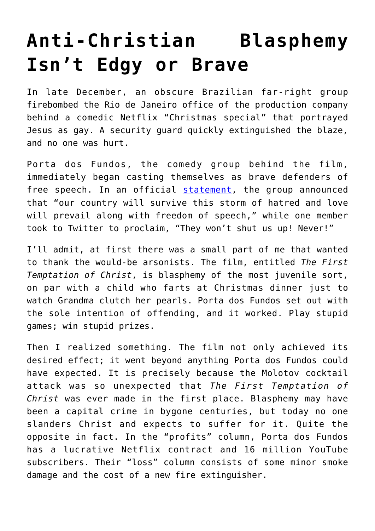## **[Anti-Christian Blasphemy](https://intellectualtakeout.org/2020/01/anti-christian-blasphemy-isnt-edgy-or-brave/) [Isn't Edgy or Brave](https://intellectualtakeout.org/2020/01/anti-christian-blasphemy-isnt-edgy-or-brave/)**

In late December, an obscure Brazilian far-right group firebombed the Rio de Janeiro office of the production company behind a comedic Netflix "Christmas special" that portrayed Jesus as gay. A security guard quickly extinguished the blaze, and no one was hurt.

Porta dos Fundos, the comedy group behind the film, immediately began casting themselves as brave defenders of free speech. In an official [statement](https://www.vice.com/en_us/article/wxe8n5/the-comedy-group-that-made-brazils-gay-jesus-show-was-firebombed), the group announced that "our country will survive this storm of hatred and love will prevail along with freedom of speech," while one member took to Twitter to proclaim, "They won't shut us up! Never!"

I'll admit, at first there was a small part of me that wanted to thank the would-be arsonists. The film, entitled *The First Temptation of Christ*, is blasphemy of the most juvenile sort, on par with a child who farts at Christmas dinner just to watch Grandma clutch her pearls. Porta dos Fundos set out with the sole intention of offending, and it worked. Play stupid games; win stupid prizes.

Then I realized something. The film not only achieved its desired effect; it went beyond anything Porta dos Fundos could have expected. It is precisely because the Molotov cocktail attack was so unexpected that *The First Temptation of Christ* was ever made in the first place. Blasphemy may have been a capital crime in bygone centuries, but today no one slanders Christ and expects to suffer for it. Quite the opposite in fact. In the "profits" column, Porta dos Fundos has a lucrative Netflix contract and 16 million YouTube subscribers. Their "loss" column consists of some minor smoke damage and the cost of a new fire extinguisher.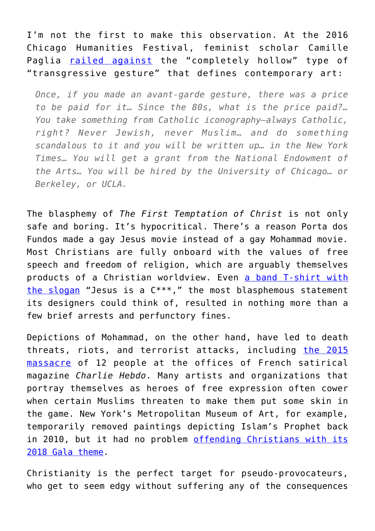I'm not the first to make this observation. At the 2016 Chicago Humanities Festival, feminist scholar Camille Paglia [railed against](https://www.youtube.com/watch?v=kyPUH825Bjk) the "completely hollow" type of "transgressive gesture" that defines contemporary art:

*Once, if you made an avant-garde gesture, there was a price to be paid for it… Since the 80s, what is the price paid?… You take something from Catholic iconography—always Catholic, right? Never Jewish, never Muslim… and do something scandalous to it and you will be written up… in the New York Times… You will get a grant from the National Endowment of the Arts… You will be hired by the University of Chicago… or Berkeley, or UCLA.*

The blasphemy of *The First Temptation of Christ* is not only safe and boring. It's hypocritical. There's a reason Porta dos Fundos made a gay Jesus movie instead of a gay Mohammad movie. Most Christians are fully onboard with the values of free speech and freedom of religion, which are arguably themselves products of a Christian worldview. Even [a band T-shirt with](https://www.rollingstone.com/music/music-news/the-story-of-the-most-controversial-shirt-in-rock-history-61183/) [the slogan](https://www.rollingstone.com/music/music-news/the-story-of-the-most-controversial-shirt-in-rock-history-61183/) "Jesus is a C\*\*\*," the most blasphemous statement its designers could think of, resulted in nothing more than a few brief arrests and perfunctory fines.

Depictions of Mohammad, on the other hand, have led to death threats, riots, and terrorist attacks, including [the 2015](https://www.independent.co.uk/news/world/europe/charlie-hebdo-shooting-10-killed-as-shots-fired-at-satirical-magazine-headquarters-according-to-reports-9962337.html) [massacre](https://www.independent.co.uk/news/world/europe/charlie-hebdo-shooting-10-killed-as-shots-fired-at-satirical-magazine-headquarters-according-to-reports-9962337.html) of 12 people at the offices of French satirical magazine *Charlie Hebdo*. Many artists and organizations that portray themselves as heroes of free expression often cower when certain Muslims threaten to make them put some skin in the game. New York's Metropolitan Museum of Art, for example, temporarily removed paintings depicting Islam's Prophet back in 2010, but it had no problem [offending Christians with its](https://www.washingtonexaminer.com/opinion/the-met-gala-was-a-parade-of-hypocrisy-and-blasphemy) [2018 Gala theme](https://www.washingtonexaminer.com/opinion/the-met-gala-was-a-parade-of-hypocrisy-and-blasphemy).

Christianity is the perfect target for pseudo-provocateurs, who get to seem edgy without suffering any of the consequences